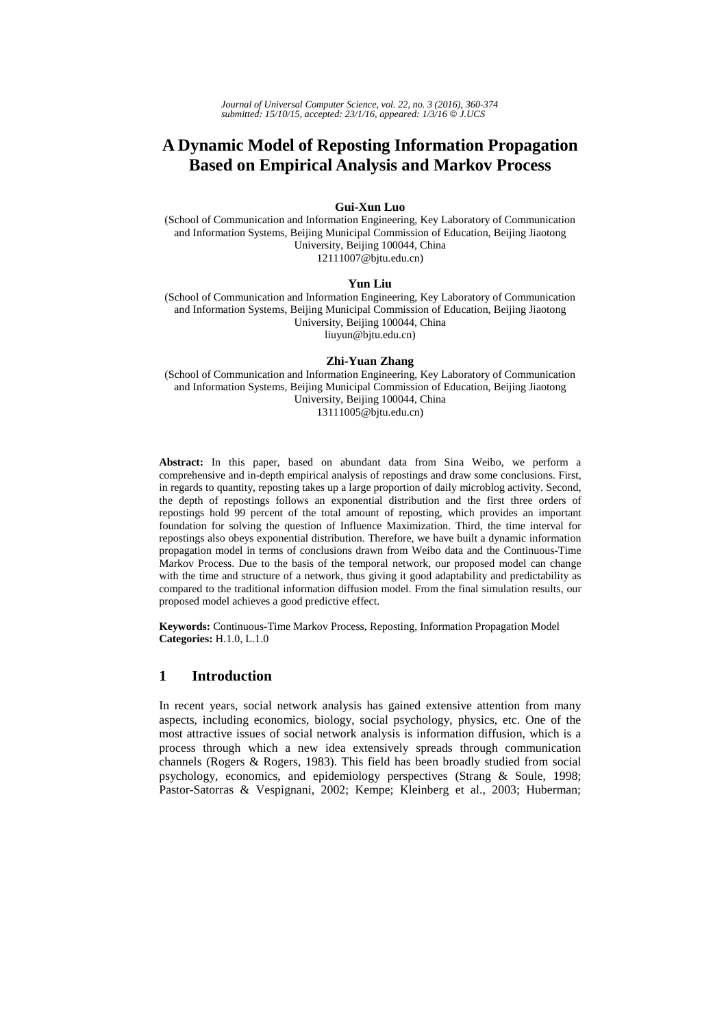# **A Dynamic Model of Reposting Information Propagation Based on Empirical Analysis and Markov Process**

### **Gui-Xun Luo**

(School of Communication and Information Engineering, Key Laboratory of Communication and Information Systems, Beijing Municipal Commission of Education, Beijing Jiaotong University, Beijing 100044, China 12111007@bjtu.edu.cn)

#### **Yun Liu**

(School of Communication and Information Engineering, Key Laboratory of Communication and Information Systems, Beijing Municipal Commission of Education, Beijing Jiaotong University, Beijing 100044, China liuyun@bjtu.edu.cn)

#### **Zhi-Yuan Zhang**

(School of Communication and Information Engineering, Key Laboratory of Communication and Information Systems, Beijing Municipal Commission of Education, Beijing Jiaotong University, Beijing 100044, China 13111005@bjtu.edu.cn)

**Abstract:** In this paper, based on abundant data from Sina Weibo, we perform a comprehensive and in-depth empirical analysis of repostings and draw some conclusions. First, in regards to quantity, reposting takes up a large proportion of daily microblog activity. Second, the depth of repostings follows an exponential distribution and the first three orders of repostings hold 99 percent of the total amount of reposting, which provides an important foundation for solving the question of Influence Maximization. Third, the time interval for repostings also obeys exponential distribution. Therefore, we have built a dynamic information propagation model in terms of conclusions drawn from Weibo data and the Continuous-Time Markov Process. Due to the basis of the temporal network, our proposed model can change with the time and structure of a network, thus giving it good adaptability and predictability as compared to the traditional information diffusion model. From the final simulation results, our proposed model achieves a good predictive effect.

**Keywords:** Continuous-Time Markov Process, Reposting, Information Propagation Model **Categories:** H.1.0, L.1.0

### **1 Introduction**

In recent years, social network analysis has gained extensive attention from many aspects, including economics, biology, social psychology, physics, etc. One of the most attractive issues of social network analysis is information diffusion, which is a process through which a new idea extensively spreads through communication channels (Rogers & Rogers, 1983). This field has been broadly studied from social psychology, economics, and epidemiology perspectives (Strang & Soule, 1998; Pastor-Satorras & Vespignani, 2002; Kempe; Kleinberg et al., 2003; Huberman;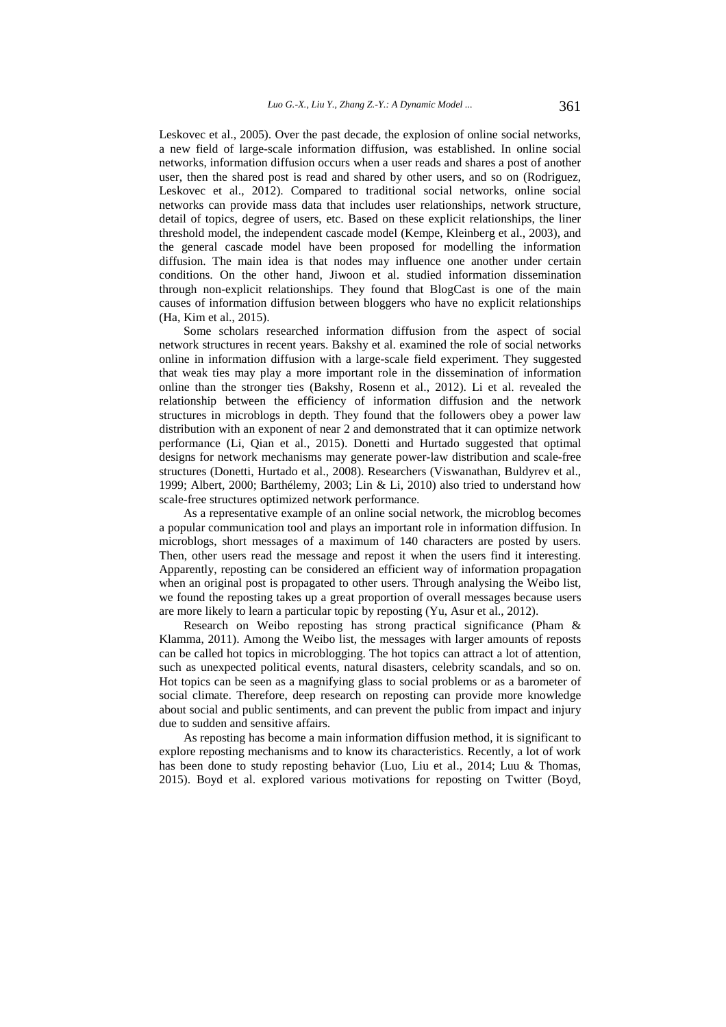Leskovec et al., 2005). Over the past decade, the explosion of online social networks, a new field of large-scale information diffusion, was established. In online social networks, information diffusion occurs when a user reads and shares a post of another user, then the shared post is read and shared by other users, and so on (Rodriguez, Leskovec et al., 2012). Compared to traditional social networks, online social networks can provide mass data that includes user relationships, network structure, detail of topics, degree of users, etc. Based on these explicit relationships, the liner threshold model, the independent cascade model (Kempe, Kleinberg et al., 2003), and the general cascade model have been proposed for modelling the information diffusion. The main idea is that nodes may influence one another under certain conditions. On the other hand, Jiwoon et al. studied information dissemination through non-explicit relationships. They found that BlogCast is one of the main causes of information diffusion between bloggers who have no explicit relationships (Ha, Kim et al., 2015).

Some scholars researched information diffusion from the aspect of social network structures in recent years. Bakshy et al. examined the role of social networks online in information diffusion with a large-scale field experiment. They suggested that weak ties may play a more important role in the dissemination of information online than the stronger ties (Bakshy, Rosenn et al., 2012). Li et al. revealed the relationship between the efficiency of information diffusion and the network structures in microblogs in depth. They found that the followers obey a power law distribution with an exponent of near 2 and demonstrated that it can optimize network performance (Li, Qian et al., 2015). Donetti and Hurtado suggested that optimal designs for network mechanisms may generate power-law distribution and scale-free structures (Donetti, Hurtado et al., 2008). Researchers (Viswanathan, Buldyrev et al., 1999; Albert, 2000; Barthélemy, 2003; Lin & Li, 2010) also tried to understand how scale-free structures optimized network performance.

As a representative example of an online social network, the microblog becomes a popular communication tool and plays an important role in information diffusion. In microblogs, short messages of a maximum of 140 characters are posted by users. Then, other users read the message and repost it when the users find it interesting. Apparently, reposting can be considered an efficient way of information propagation when an original post is propagated to other users. Through analysing the Weibo list, we found the reposting takes up a great proportion of overall messages because users are more likely to learn a particular topic by reposting (Yu, Asur et al., 2012).

Research on Weibo reposting has strong practical significance (Pham & Klamma, 2011). Among the Weibo list, the messages with larger amounts of reposts can be called hot topics in microblogging. The hot topics can attract a lot of attention, such as unexpected political events, natural disasters, celebrity scandals, and so on. Hot topics can be seen as a magnifying glass to social problems or as a barometer of social climate. Therefore, deep research on reposting can provide more knowledge about social and public sentiments, and can prevent the public from impact and injury due to sudden and sensitive affairs.

As reposting has become a main information diffusion method, it is significant to explore reposting mechanisms and to know its characteristics. Recently, a lot of work has been done to study reposting behavior (Luo, Liu et al., 2014; Luu & Thomas, 2015). Boyd et al. explored various motivations for reposting on Twitter (Boyd,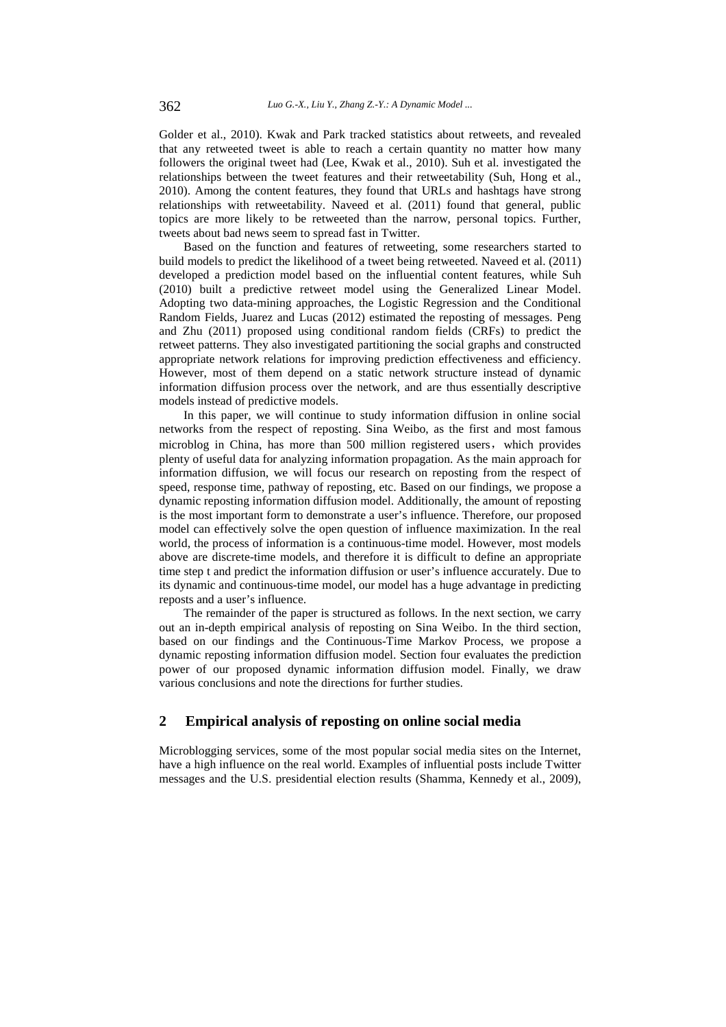Golder et al., 2010). Kwak and Park tracked statistics about retweets, and revealed that any retweeted tweet is able to reach a certain quantity no matter how many followers the original tweet had (Lee, Kwak et al., 2010). Suh et al. investigated the relationships between the tweet features and their retweetability (Suh, Hong et al., 2010). Among the content features, they found that URLs and hashtags have strong relationships with retweetability. Naveed et al. (2011) found that general, public topics are more likely to be retweeted than the narrow, personal topics. Further, tweets about bad news seem to spread fast in Twitter.

Based on the function and features of retweeting, some researchers started to build models to predict the likelihood of a tweet being retweeted. Naveed et al. (2011) developed a prediction model based on the influential content features, while Suh (2010) built a predictive retweet model using the Generalized Linear Model. Adopting two data-mining approaches, the Logistic Regression and the Conditional Random Fields, Juarez and Lucas (2012) estimated the reposting of messages. Peng and Zhu (2011) proposed using conditional random fields (CRFs) to predict the retweet patterns. They also investigated partitioning the social graphs and constructed appropriate network relations for improving prediction effectiveness and efficiency. However, most of them depend on a static network structure instead of dynamic information diffusion process over the network, and are thus essentially descriptive models instead of predictive models.

In this paper, we will continue to study information diffusion in online social networks from the respect of reposting. Sina Weibo, as the first and most famous microblog in China, has more than 500 million registered users, which provides plenty of useful data for analyzing information propagation. As the main approach for information diffusion, we will focus our research on reposting from the respect of speed, response time, pathway of reposting, etc. Based on our findings, we propose a dynamic reposting information diffusion model. Additionally, the amount of reposting is the most important form to demonstrate a user's influence. Therefore, our proposed model can effectively solve the open question of influence maximization. In the real world, the process of information is a continuous-time model. However, most models above are discrete-time models, and therefore it is difficult to define an appropriate time step t and predict the information diffusion or user's influence accurately. Due to its dynamic and continuous-time model, our model has a huge advantage in predicting reposts and a user's influence.

The remainder of the paper is structured as follows. In the next section, we carry out an in-depth empirical analysis of reposting on Sina Weibo. In the third section, based on our findings and the Continuous-Time Markov Process, we propose a dynamic reposting information diffusion model. Section four evaluates the prediction power of our proposed dynamic information diffusion model. Finally, we draw various conclusions and note the directions for further studies.

### **2 Empirical analysis of reposting on online social media**

Microblogging services, some of the most popular social media sites on the Internet, have a high influence on the real world. Examples of influential posts include Twitter messages and the U.S. presidential election results (Shamma, Kennedy et al., 2009),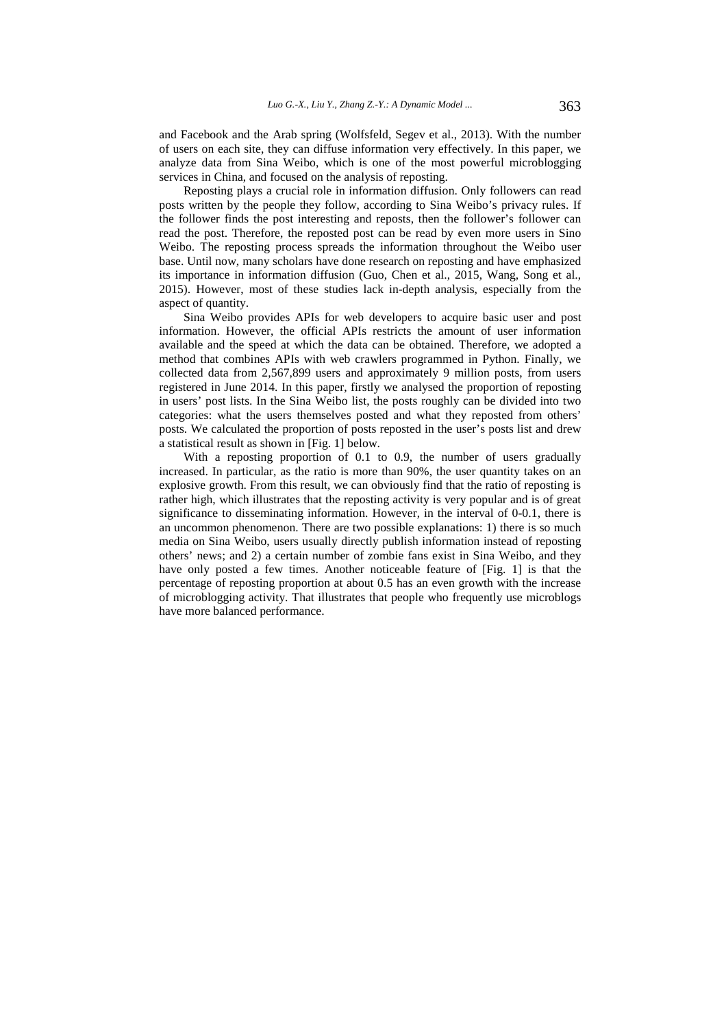and Facebook and the Arab spring (Wolfsfeld, Segev et al., 2013). With the number of users on each site, they can diffuse information very effectively. In this paper, we analyze data from Sina Weibo, which is one of the most powerful microblogging services in China, and focused on the analysis of reposting.

Reposting plays a crucial role in information diffusion. Only followers can read posts written by the people they follow, according to Sina Weibo's privacy rules. If the follower finds the post interesting and reposts, then the follower's follower can read the post. Therefore, the reposted post can be read by even more users in Sino Weibo. The reposting process spreads the information throughout the Weibo user base. Until now, many scholars have done research on reposting and have emphasized its importance in information diffusion (Guo, Chen et al., 2015, Wang, Song et al., 2015). However, most of these studies lack in-depth analysis, especially from the aspect of quantity.

Sina Weibo provides APIs for web developers to acquire basic user and post information. However, the official APIs restricts the amount of user information available and the speed at which the data can be obtained. Therefore, we adopted a method that combines APIs with web crawlers programmed in Python. Finally, we collected data from 2,567,899 users and approximately 9 million posts, from users registered in June 2014. In this paper, firstly we analysed the proportion of reposting in users' post lists. In the Sina Weibo list, the posts roughly can be divided into two categories: what the users themselves posted and what they reposted from others' posts. We calculated the proportion of posts reposted in the user's posts list and drew a statistical result as shown in [Fig. 1] below.

With a reposting proportion of 0.1 to 0.9, the number of users gradually increased. In particular, as the ratio is more than 90%, the user quantity takes on an explosive growth. From this result, we can obviously find that the ratio of reposting is rather high, which illustrates that the reposting activity is very popular and is of great significance to disseminating information. However, in the interval of 0-0.1, there is an uncommon phenomenon. There are two possible explanations: 1) there is so much media on Sina Weibo, users usually directly publish information instead of reposting others' news; and 2) a certain number of zombie fans exist in Sina Weibo, and they have only posted a few times. Another noticeable feature of [Fig. 1] is that the percentage of reposting proportion at about 0.5 has an even growth with the increase of microblogging activity. That illustrates that people who frequently use microblogs have more balanced performance.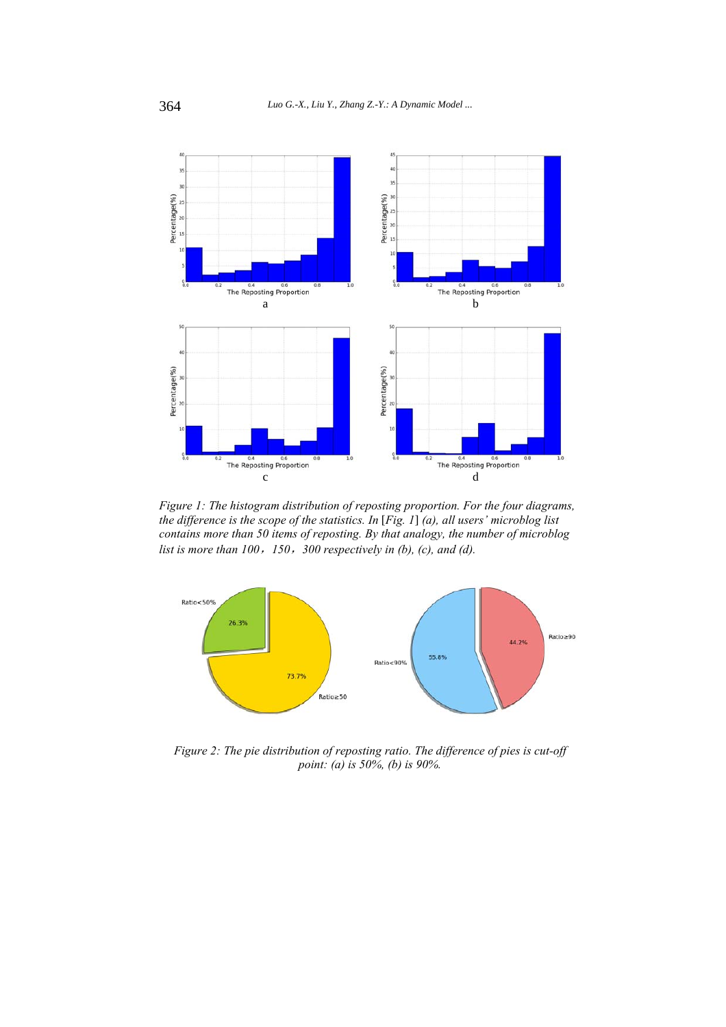

*Figure 1: The histogram distribution of reposting proportion. For the four diagrams, the difference is the scope of the statistics. In* [*Fig. 1*] *(a), all users' microblog list contains more than 50 items of reposting. By that analogy, the number of microblog list is more than 100*,*150*,*300 respectively in (b), (c), and (d).* 



*Figure 2: The pie distribution of reposting ratio. The difference of pies is cut-off point: (a) is 50%, (b) is 90%.*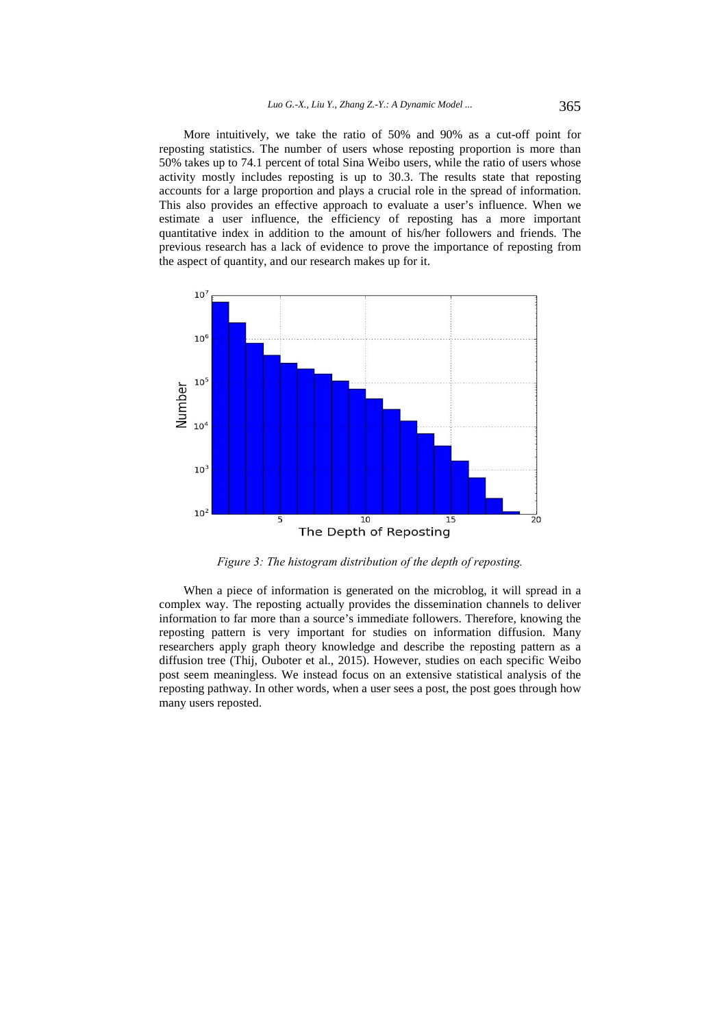More intuitively, we take the ratio of 50% and 90% as a cut-off point for reposting statistics. The number of users whose reposting proportion is more than 50% takes up to 74.1 percent of total Sina Weibo users, while the ratio of users whose activity mostly includes reposting is up to 30.3. The results state that reposting accounts for a large proportion and plays a crucial role in the spread of information. This also provides an effective approach to evaluate a user's influence. When we estimate a user influence, the efficiency of reposting has a more important quantitative index in addition to the amount of his/her followers and friends. The previous research has a lack of evidence to prove the importance of reposting from the aspect of quantity, and our research makes up for it.



*Figure 3: The histogram distribution of the depth of reposting.* 

When a piece of information is generated on the microblog, it will spread in a complex way. The reposting actually provides the dissemination channels to deliver information to far more than a source's immediate followers. Therefore, knowing the reposting pattern is very important for studies on information diffusion. Many researchers apply graph theory knowledge and describe the reposting pattern as a diffusion tree (Thij, Ouboter et al., 2015). However, studies on each specific Weibo post seem meaningless. We instead focus on an extensive statistical analysis of the reposting pathway. In other words, when a user sees a post, the post goes through how many users reposted.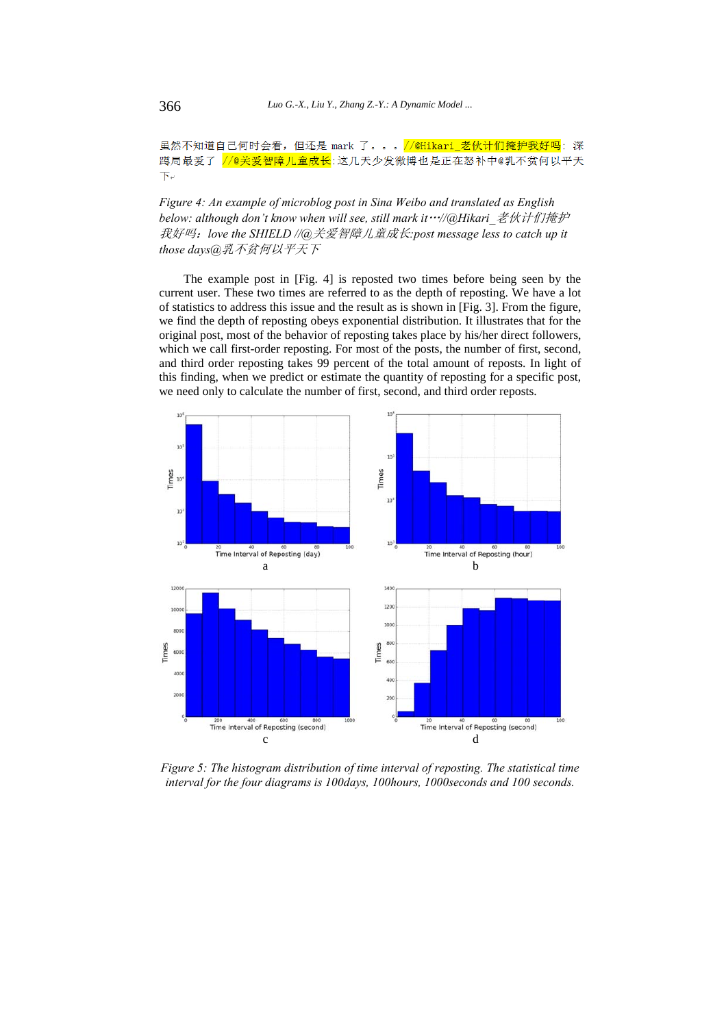### 虽然不知道自己何时会看,但还是 mark 了。。。//@Hikari\_老伙计们掩护我好吗:深  $\overline{\mathrm{F}}$ e

*Figure 4: An example of microblog post in Sina Weibo and translated as English below: although don't know when will see, still mark it*…*//@Hikari\_*老伙计们掩护 我好吗:*love the SHIELD //@*关爱智障儿童成长*:post message less to catch up it those days@*乳不贫何以平天下

The example post in [Fig. 4] is reposted two times before being seen by the current user. These two times are referred to as the depth of reposting. We have a lot of statistics to address this issue and the result as is shown in [Fig. 3]. From the figure, we find the depth of reposting obeys exponential distribution. It illustrates that for the original post, most of the behavior of reposting takes place by his/her direct followers, which we call first-order reposting. For most of the posts, the number of first, second, and third order reposting takes 99 percent of the total amount of reposts. In light of this finding, when we predict or estimate the quantity of reposting for a specific post, we need only to calculate the number of first, second, and third order reposts.



*Figure 5: The histogram distribution of time interval of reposting. The statistical time interval for the four diagrams is 100days, 100hours, 1000seconds and 100 seconds.*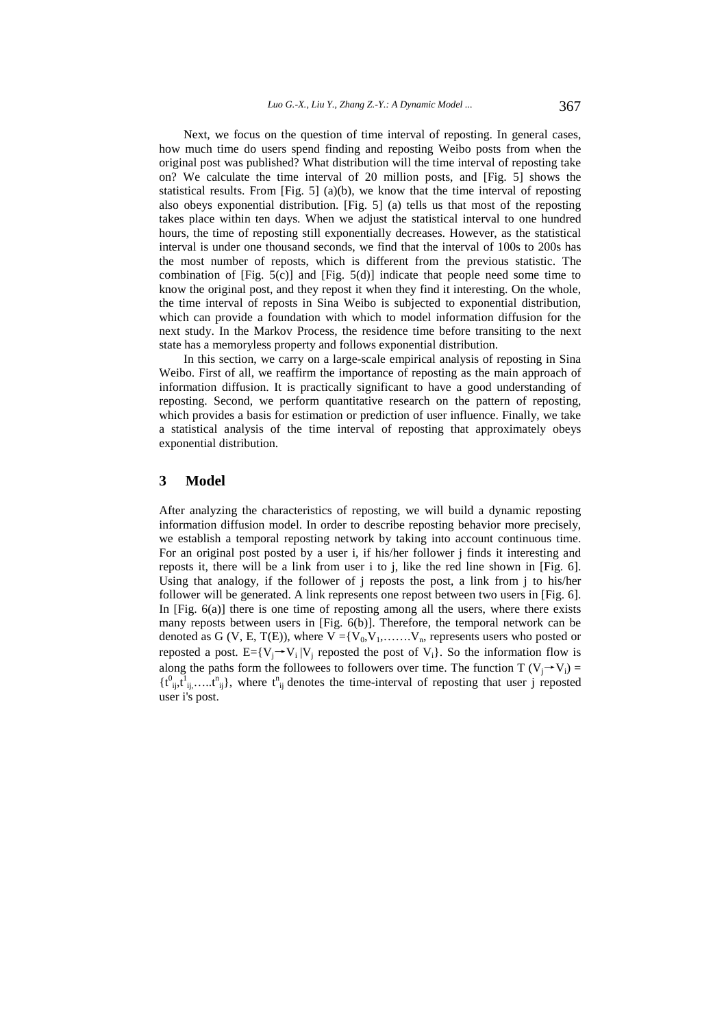Next, we focus on the question of time interval of reposting. In general cases, how much time do users spend finding and reposting Weibo posts from when the original post was published? What distribution will the time interval of reposting take on? We calculate the time interval of 20 million posts, and [Fig. 5] shows the statistical results. From  $[Fig. 5]$  (a)(b), we know that the time interval of reposting also obeys exponential distribution. [Fig. 5] (a) tells us that most of the reposting takes place within ten days. When we adjust the statistical interval to one hundred hours, the time of reposting still exponentially decreases. However, as the statistical interval is under one thousand seconds, we find that the interval of 100s to 200s has the most number of reposts, which is different from the previous statistic. The combination of  $[Fig. 5(c)]$  and  $[Fig. 5(d)]$  indicate that people need some time to know the original post, and they repost it when they find it interesting. On the whole, the time interval of reposts in Sina Weibo is subjected to exponential distribution, which can provide a foundation with which to model information diffusion for the next study. In the Markov Process, the residence time before transiting to the next state has a memoryless property and follows exponential distribution.

In this section, we carry on a large-scale empirical analysis of reposting in Sina Weibo. First of all, we reaffirm the importance of reposting as the main approach of information diffusion. It is practically significant to have a good understanding of reposting. Second, we perform quantitative research on the pattern of reposting, which provides a basis for estimation or prediction of user influence. Finally, we take a statistical analysis of the time interval of reposting that approximately obeys exponential distribution.

#### **3 Model**

After analyzing the characteristics of reposting, we will build a dynamic reposting information diffusion model. In order to describe reposting behavior more precisely, we establish a temporal reposting network by taking into account continuous time. For an original post posted by a user i, if his/her follower j finds it interesting and reposts it, there will be a link from user i to j, like the red line shown in [Fig. 6]. Using that analogy, if the follower of j reposts the post, a link from j to his/her follower will be generated. A link represents one repost between two users in [Fig. 6]. In  $[Fig. 6(a)]$  there is one time of reposting among all the users, where there exists many reposts between users in [Fig. 6(b)]. Therefore, the temporal network can be denoted as G (V, E, T(E)), where  $V = {V_0, V_1, \ldots, V_n}$ , represents users who posted or reposted a post. E={ $V_i \rightarrow V_i$ |V<sub>i</sub> reposted the post of  $V_i$ }. So the information flow is along the paths form the followees to followers over time. The function T ( $V_i \rightarrow V_i$ ) =  $\{t^0_{ij}, \overline{t}^1_{ij}, \ldots, t^n_{ij}\}$ , where  $t^n_{ij}$  denotes the time-interval of reposting that user j reposted user i's post.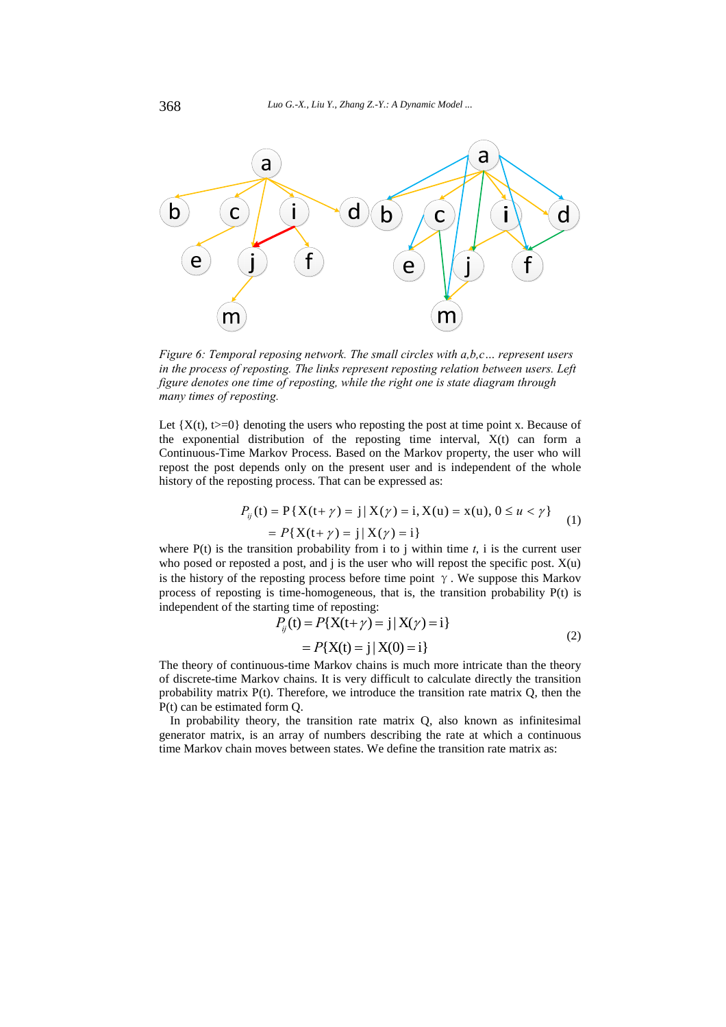

*Figure 6: Temporal reposing network. The small circles with a,b,c… represent users in the process of reposting. The links represent reposting relation between users. Left figure denotes one time of reposting, while the right one is state diagram through many times of reposting.* 

Let  ${X(t), t>=0}$  denoting the users who reposting the post at time point x. Because of the exponential distribution of the reposting time interval, X(t) can form a Continuous-Time Markov Process. Based on the Markov property, the user who will repost the post depends only on the present user and is independent of the whole history of the reposting process. That can be expressed as:

$$
P_{ij}(t) = P\{X(t+\gamma) = j | X(\gamma) = i, X(u) = x(u), 0 \le u < \gamma\}
$$
  
=  $P\{X(t+\gamma) = j | X(\gamma) = i\}$  (1)

where  $P(t)$  is the transition probability from i to j within time  $t$ , i is the current user who posed or reposted a post, and  $j$  is the user who will repost the specific post.  $X(u)$ is the history of the reposting process before time point  $\gamma$ . We suppose this Markov process of reposting is time-homogeneous, that is, the transition probability P(t) is independent of the starting time of reposting:

$$
P_{ij}(t) = P{X(t+\gamma) = j | X(\gamma) = i}
$$
  
=  $P{X(t) = j | X(0) = i}$  (2)

The theory of continuous-time Markov chains is much more intricate than the theory of discrete-time Markov chains. It is very difficult to calculate directly the transition probability matrix P(t). Therefore, we introduce the transition rate matrix Q, then the P(t) can be estimated form Q.

In probability theory, the transition rate matrix Q, also known as infinitesimal generator matrix, is an array of numbers describing the rate at which a continuous time Markov chain moves between states. We define the transition rate matrix as: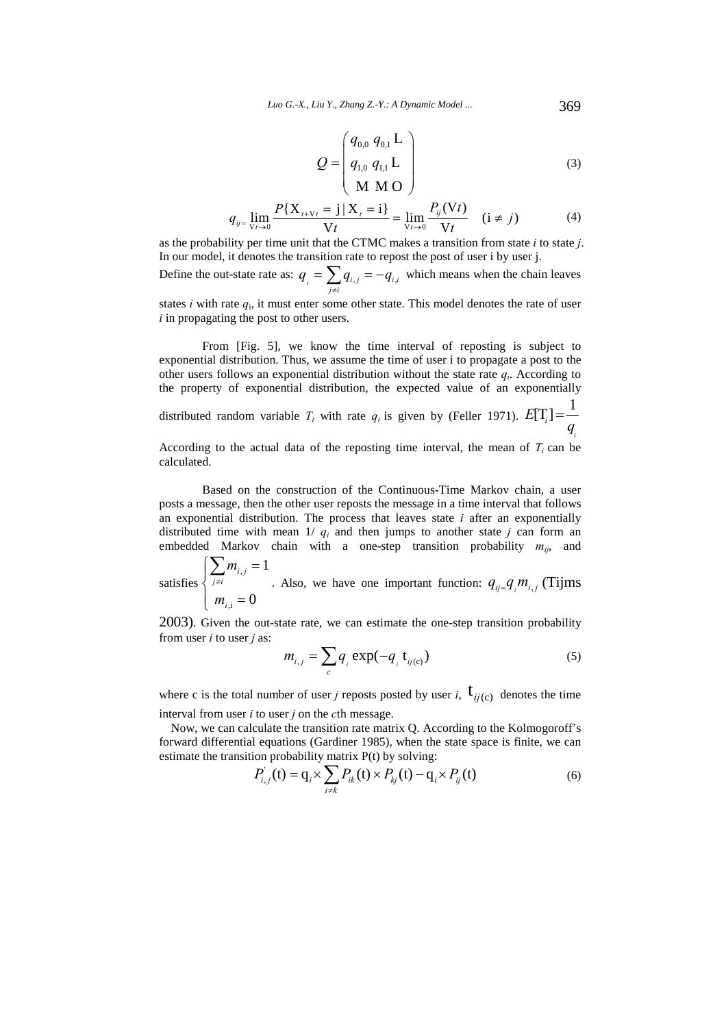$$
Q = \begin{pmatrix} q_{0,0} & q_{0,1} & L \\ q_{1,0} & q_{1,1} & L \\ M & M & O \end{pmatrix}
$$
 (3)

$$
q_{ij} = \lim_{V_t \to 0} \frac{P\{X_{t+V_t} = j | X_t = i\}}{V_t} = \lim_{V_t \to 0} \frac{P_{ij}(Vt)}{V_t} \quad (i \neq j)
$$
(4)

as the probability per time unit that the CTMC makes a transition from state *i* to state *j*. In our model, it denotes the transition rate to repost the post of user i by user j.

Define the out-state rate as:  $q_i = \sum_{j \neq i} q_{i,j} = -q_{i,i}$  $q_{i} = \sum q_{i} = -q$  $=\sum_{j\neq i} q_{i,j} = -q_{i,i}$  which means when the chain leaves

states *i* with rate  $q_i$ , it must enter some other state. This model denotes the rate of user *i* in propagating the post to other users.

From [Fig. 5], we know the time interval of reposting is subject to exponential distribution. Thus, we assume the time of user i to propagate a post to the other users follows an exponential distribution without the state rate  $q_i$ . According to the property of exponential distribution, the expected value of an exponentially

distributed random variable  $T_i$  with rate  $q_i$  is given by (Feller 1971).  $E[T_i] = \frac{1}{\sqrt{2\pi}}$ *i*  $E[T_i] = -\frac{1}{q}$  $=$ 

According to the actual data of the reposting time interval, the mean of  $T_i$  can be calculated.

Based on the construction of the Continuous-Time Markov chain, a user posts a message, then the other user reposts the message in a time interval that follows an exponential distribution. The process that leaves state *i* after an exponentially distributed time with mean  $1/q_i$  and then jumps to another state *j* can form an embedded Markov chain with a one-step transition probability  $m_{ij}$ , and

satisfies , ,i 1 0 *i j j i i m m*  $\sum_{j\neq i} m_{i,j} =$ ₹  $\left| m_{i,i} \right|$  $\sum$ . Also, we have one important function:  $q_{ij} = q_i m_{i,j}$  (Tijms

2003). Given the out-state rate, we can estimate the one-step transition probability from user *i* to user *j* as:

$$
m_{i,j} = \sum_{c} q_i \exp(-q_i \mathbf{t}_{ij(c)})
$$
\n<sup>(5)</sup>

where c is the total number of user *j* reposts posted by user *i*,  $\mathbf{t}_{ij(c)}$  denotes the time interval from user *i* to user *j* on the *c*th message.

Now, we can calculate the transition rate matrix Q. According to the Kolmogoroff's forward differential equations (Gardiner 1985), when the state space is finite, we can estimate the transition probability matrix P(t) by solving:

$$
P_{i,j}^{'}(t) = q_i \times \sum_{i \neq k} P_{ik}(t) \times P_{kj}(t) - q_i \times P_{ij}(t)
$$
 (6)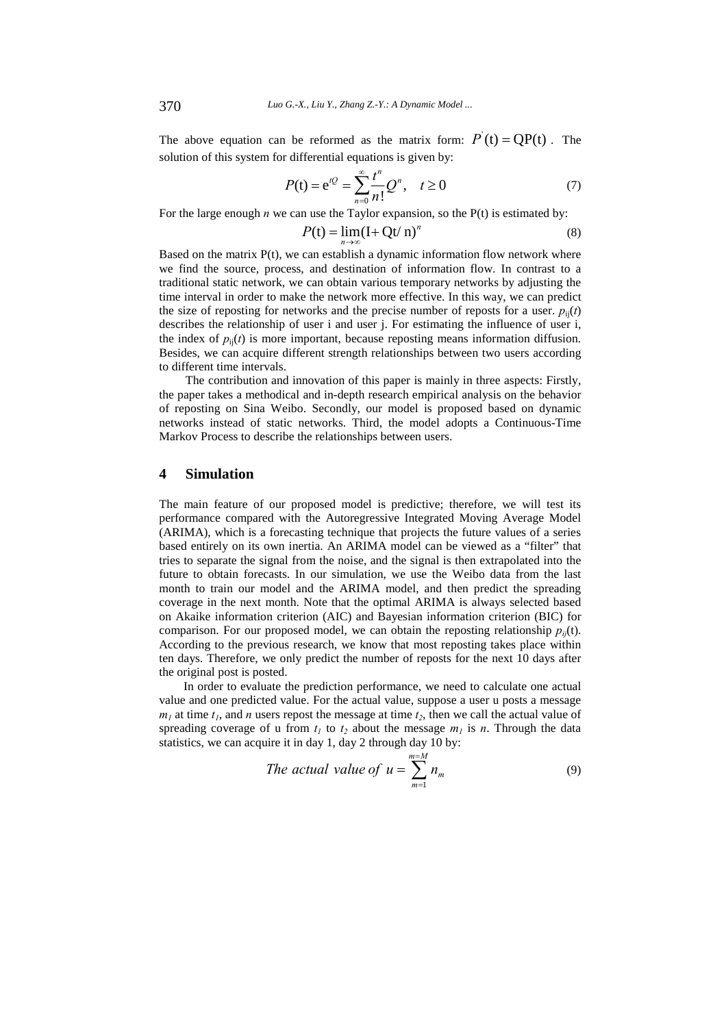The above equation can be reformed as the matrix form:  $P'(t) = QP(t)$ . The solution of this system for differential equations is given by:

$$
P(t) = e^{tQ} = \sum_{n=0}^{\infty} \frac{t^n}{n!} Q^n, \quad t \ge 0
$$
 (7)

For the large enough *n* we can use the Taylor expansion, so the P(t) is estimated by:

$$
P(t) = \lim_{n \to \infty} (I + Qt/n)^n
$$
 (8)

Based on the matrix P(t), we can establish a dynamic information flow network where we find the source, process, and destination of information flow. In contrast to a traditional static network, we can obtain various temporary networks by adjusting the time interval in order to make the network more effective. In this way, we can predict the size of reposting for networks and the precise number of reposts for a user.  $p_{ii}(t)$ describes the relationship of user i and user j. For estimating the influence of user i, the index of  $p_{ii}(t)$  is more important, because reposting means information diffusion. Besides, we can acquire different strength relationships between two users according to different time intervals.

The contribution and innovation of this paper is mainly in three aspects: Firstly, the paper takes a methodical and in-depth research empirical analysis on the behavior of reposting on Sina Weibo. Secondly, our model is proposed based on dynamic networks instead of static networks. Third, the model adopts a Continuous-Time Markov Process to describe the relationships between users.

# **4 Simulation**

The main feature of our proposed model is predictive; therefore, we will test its performance compared with the Autoregressive Integrated Moving Average Model (ARIMA), which is a forecasting technique that projects the future values of a series based entirely on its own inertia. An ARIMA model can be viewed as a "filter" that tries to separate the signal from the noise, and the signal is then extrapolated into the future to obtain forecasts. In our simulation, we use the Weibo data from the last month to train our model and the ARIMA model, and then predict the spreading coverage in the next month. Note that the optimal ARIMA is always selected based on Akaike information criterion (AIC) and Bayesian information criterion (BIC) for comparison. For our proposed model, we can obtain the reposting relationship  $p_{ij}(t)$ . According to the previous research, we know that most reposting takes place within ten days. Therefore, we only predict the number of reposts for the next 10 days after the original post is posted.

In order to evaluate the prediction performance, we need to calculate one actual value and one predicted value. For the actual value, suppose a user u posts a message  $m_l$  at time  $t_l$ , and *n* users repost the message at time  $t_2$ , then we call the actual value of spreading coverage of u from  $t_1$  to  $t_2$  about the message  $m_1$  is n. Through the data statistics, we can acquire it in day 1, day 2 through day 10 by:

The actual value of 
$$
u = \sum_{m=1}^{m=M} n_m
$$
 (9)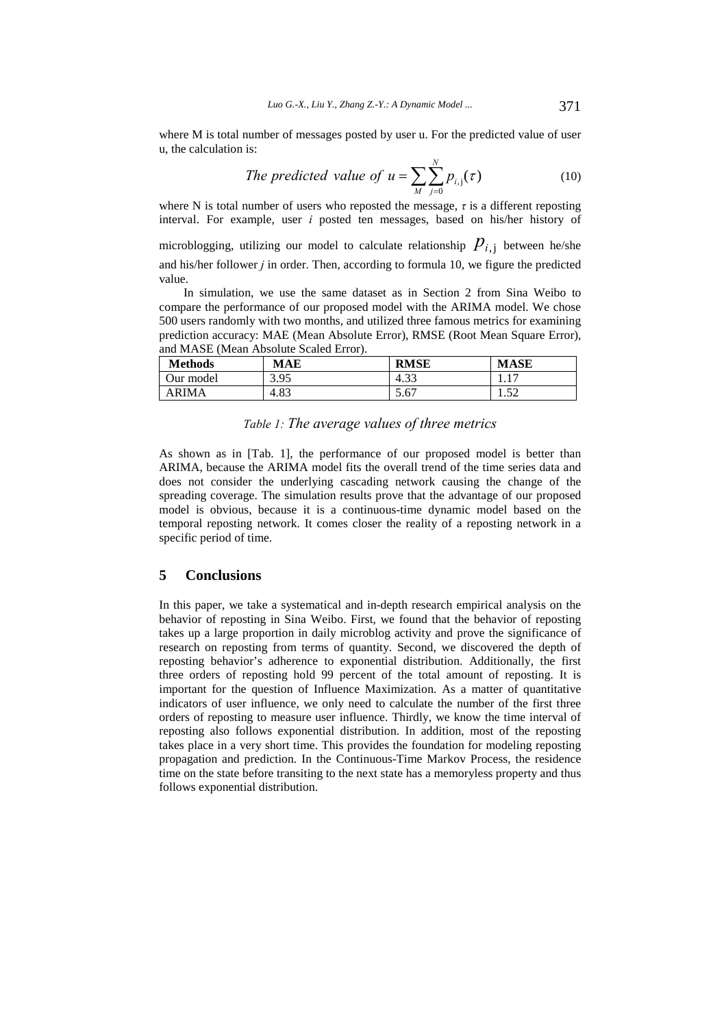where M is total number of messages posted by user u. For the predicted value of user u, the calculation is:

The predicted value of 
$$
u = \sum_{M} \sum_{j=0}^{N} p_{i,j}(\tau)
$$
 (10)

where N is total number of users who reposted the message,  $\tau$  is a different reposting interval. For example, user *i* posted ten messages, based on his/her history of

microblogging, utilizing our model to calculate relationship  $P_{i,j}$  between he/she and his/her follower *j* in order. Then, according to formula 10, we figure the predicted value.

In simulation, we use the same dataset as in Section 2 from Sina Weibo to compare the performance of our proposed model with the ARIMA model. We chose 500 users randomly with two months, and utilized three famous metrics for examining prediction accuracy: MAE (Mean Absolute Error), RMSE (Root Mean Square Error), and MASE (Mean Absolute Scaled Error).

| <b>Methods</b> | <b>MAE</b> | <b>RMSE</b>           | <b>MASE</b>        |
|----------------|------------|-----------------------|--------------------|
| Our model      | 3.95       | $\mathcal{D}$<br>د4.3 | .                  |
| ARIMA          | 4.83       | 5.67                  | 50<br>1.J <i>L</i> |

# *Table 1: The average values of three metrics*

As shown as in [Tab. 1], the performance of our proposed model is better than ARIMA, because the ARIMA model fits the overall trend of the time series data and does not consider the underlying cascading network causing the change of the spreading coverage. The simulation results prove that the advantage of our proposed model is obvious, because it is a continuous-time dynamic model based on the temporal reposting network. It comes closer the reality of a reposting network in a specific period of time.

### **5 Conclusions**

In this paper, we take a systematical and in-depth research empirical analysis on the behavior of reposting in Sina Weibo. First, we found that the behavior of reposting takes up a large proportion in daily microblog activity and prove the significance of research on reposting from terms of quantity. Second, we discovered the depth of reposting behavior's adherence to exponential distribution. Additionally, the first three orders of reposting hold 99 percent of the total amount of reposting. It is important for the question of Influence Maximization. As a matter of quantitative indicators of user influence, we only need to calculate the number of the first three orders of reposting to measure user influence. Thirdly, we know the time interval of reposting also follows exponential distribution. In addition, most of the reposting takes place in a very short time. This provides the foundation for modeling reposting propagation and prediction. In the Continuous-Time Markov Process, the residence time on the state before transiting to the next state has a memoryless property and thus follows exponential distribution.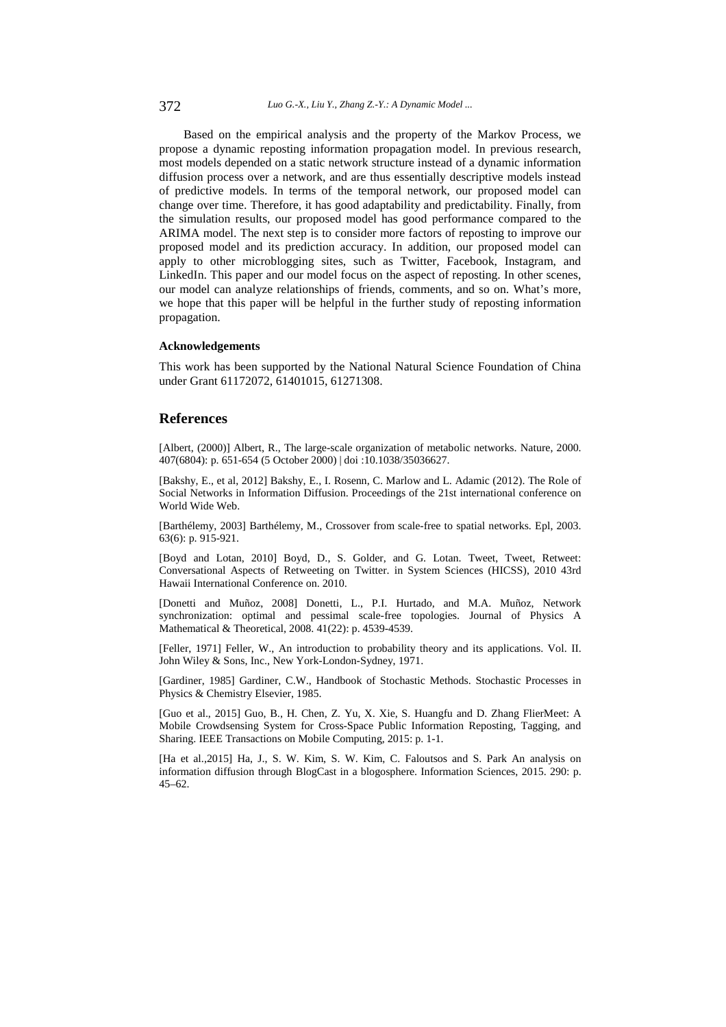Based on the empirical analysis and the property of the Markov Process, we propose a dynamic reposting information propagation model. In previous research, most models depended on a static network structure instead of a dynamic information diffusion process over a network, and are thus essentially descriptive models instead of predictive models. In terms of the temporal network, our proposed model can change over time. Therefore, it has good adaptability and predictability. Finally, from the simulation results, our proposed model has good performance compared to the ARIMA model. The next step is to consider more factors of reposting to improve our proposed model and its prediction accuracy. In addition, our proposed model can apply to other microblogging sites, such as Twitter, Facebook, Instagram, and LinkedIn. This paper and our model focus on the aspect of reposting. In other scenes, our model can analyze relationships of friends, comments, and so on. What's more, we hope that this paper will be helpful in the further study of reposting information propagation.

#### **Acknowledgements**

This work has been supported by the National Natural Science Foundation of China under Grant 61172072, 61401015, 61271308.

### **References**

[Albert, (2000)] Albert, R., The large-scale organization of metabolic networks. Nature, 2000. 407(6804): p. 651-654 (5 October 2000) | doi :10.1038/35036627.

[Bakshy, E., et al, 2012] Bakshy, E., I. Rosenn, C. Marlow and L. Adamic (2012). The Role of Social Networks in Information Diffusion. Proceedings of the 21st international conference on World Wide Web.

[Barthélemy, 2003] Barthélemy, M., Crossover from scale-free to spatial networks. Epl, 2003. 63(6): p. 915-921.

[Boyd and Lotan, 2010] Boyd, D., S. Golder, and G. Lotan. Tweet, Tweet, Retweet: Conversational Aspects of Retweeting on Twitter. in System Sciences (HICSS), 2010 43rd Hawaii International Conference on. 2010.

[Donetti and Muñoz, 2008] Donetti, L., P.I. Hurtado, and M.A. Muñoz, Network synchronization: optimal and pessimal scale-free topologies. Journal of Physics A Mathematical & Theoretical, 2008. 41(22): p. 4539-4539.

[Feller, 1971] Feller, W., An introduction to probability theory and its applications. Vol. II. John Wiley & Sons, Inc., New York-London-Sydney, 1971.

[Gardiner, 1985] Gardiner, C.W., Handbook of Stochastic Methods. Stochastic Processes in Physics & Chemistry Elsevier, 1985.

[Guo et al., 2015] Guo, B., H. Chen, Z. Yu, X. Xie, S. Huangfu and D. Zhang FlierMeet: A Mobile Crowdsensing System for Cross-Space Public Information Reposting, Tagging, and Sharing. IEEE Transactions on Mobile Computing, 2015: p. 1-1.

[Ha et al.,2015] Ha, J., S. W. Kim, S. W. Kim, C. Faloutsos and S. Park An analysis on information diffusion through BlogCast in a blogosphere. Information Sciences, 2015. 290: p.  $45-62$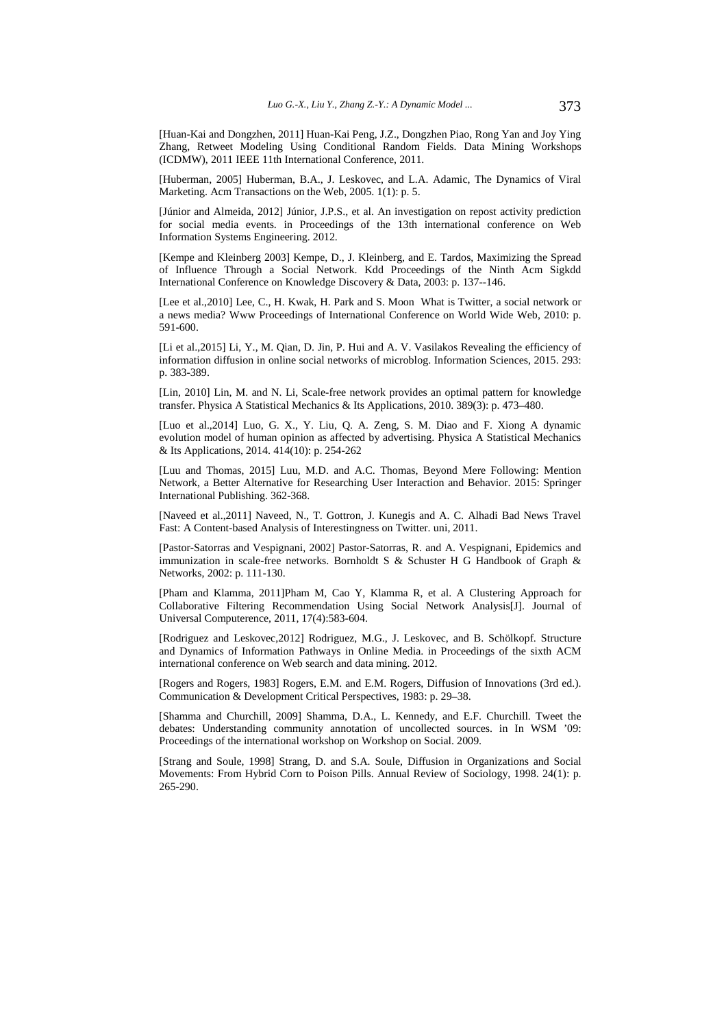[Huan-Kai and Dongzhen, 2011] Huan-Kai Peng, J.Z., Dongzhen Piao, Rong Yan and Joy Ying Zhang, Retweet Modeling Using Conditional Random Fields. Data Mining Workshops (ICDMW), 2011 IEEE 11th International Conference, 2011.

[Huberman, 2005] Huberman, B.A., J. Leskovec, and L.A. Adamic, The Dynamics of Viral Marketing. Acm Transactions on the Web, 2005. 1(1): p. 5.

[Júnior and Almeida, 2012] Júnior, J.P.S., et al. An investigation on repost activity prediction for social media events. in Proceedings of the 13th international conference on Web Information Systems Engineering. 2012.

[Kempe and Kleinberg 2003] Kempe, D., J. Kleinberg, and E. Tardos, Maximizing the Spread of Influence Through a Social Network. Kdd Proceedings of the Ninth Acm Sigkdd International Conference on Knowledge Discovery & Data, 2003: p. 137--146.

[Lee et al., 2010] Lee, C., H. Kwak, H. Park and S. Moon What is Twitter, a social network or a news media? Www Proceedings of International Conference on World Wide Web, 2010: p. 591-600.

[Li et al.,2015] Li, Y., M. Qian, D. Jin, P. Hui and A. V. Vasilakos Revealing the efficiency of information diffusion in online social networks of microblog. Information Sciences, 2015. 293: p. 383-389.

[Lin, 2010] Lin, M. and N. Li, Scale-free network provides an optimal pattern for knowledge transfer. Physica A Statistical Mechanics & Its Applications, 2010. 389(3): p. 473–480.

[Luo et al.,2014] Luo, G. X., Y. Liu, Q. A. Zeng, S. M. Diao and F. Xiong A dynamic evolution model of human opinion as affected by advertising. Physica A Statistical Mechanics & Its Applications, 2014. 414(10): p. 254-262

[Luu and Thomas, 2015] Luu, M.D. and A.C. Thomas, Beyond Mere Following: Mention Network, a Better Alternative for Researching User Interaction and Behavior. 2015: Springer International Publishing. 362-368.

[Naveed et al.,2011] Naveed, N., T. Gottron, J. Kunegis and A. C. Alhadi Bad News Travel Fast: A Content-based Analysis of Interestingness on Twitter. uni, 2011.

[Pastor-Satorras and Vespignani, 2002] Pastor-Satorras, R. and A. Vespignani, Epidemics and immunization in scale-free networks. Bornholdt S & Schuster H G Handbook of Graph & Networks, 2002: p. 111-130.

[Pham and Klamma, 2011]Pham M, Cao Y, Klamma R, et al. A Clustering Approach for Collaborative Filtering Recommendation Using Social Network Analysis[J]. Journal of Universal Computerence, 2011, 17(4):583-604.

[Rodriguez and Leskovec,2012] Rodriguez, M.G., J. Leskovec, and B. Schölkopf. Structure and Dynamics of Information Pathways in Online Media. in Proceedings of the sixth ACM international conference on Web search and data mining. 2012.

[Rogers and Rogers, 1983] Rogers, E.M. and E.M. Rogers, Diffusion of Innovations (3rd ed.). Communication & Development Critical Perspectives, 1983: p. 29–38.

[Shamma and Churchill, 2009] Shamma, D.A., L. Kennedy, and E.F. Churchill. Tweet the debates: Understanding community annotation of uncollected sources. in In WSM '09: Proceedings of the international workshop on Workshop on Social. 2009.

[Strang and Soule, 1998] Strang, D. and S.A. Soule, Diffusion in Organizations and Social Movements: From Hybrid Corn to Poison Pills. Annual Review of Sociology, 1998. 24(1): p. 265-290.